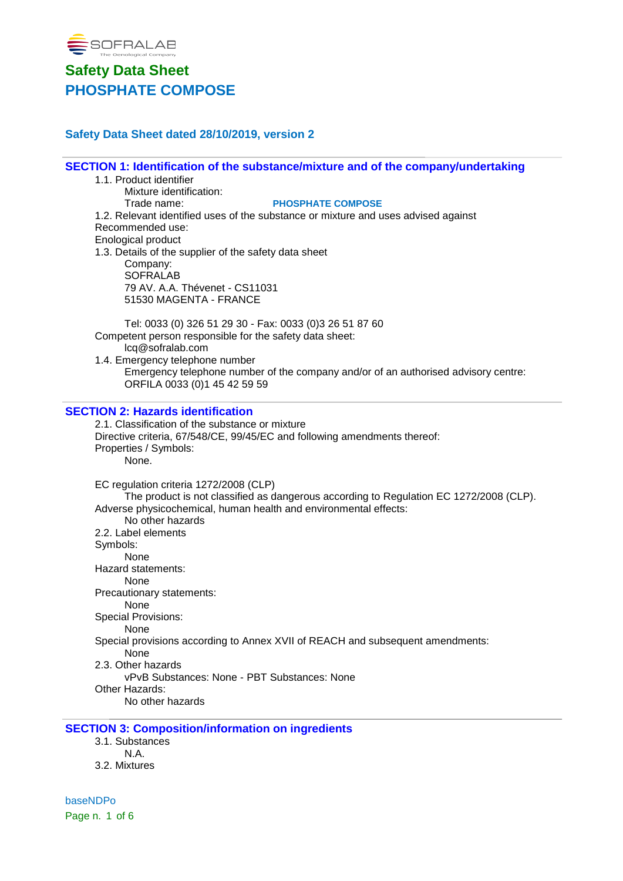

### **Safety Data Sheet dated 28/10/2019, version 2**

**SECTION 1: Identification of the substance/mixture and of the company/undertaking** 1.1. Product identifier Mixture identification: Trade name: **PHOSPHATE COMPOSE** 1.2. Relevant identified uses of the substance or mixture and uses advised against Recommended use: Enological product 1.3. Details of the supplier of the safety data sheet Company: **SOFRALAB** 79 AV. A.A. Thévenet - CS11031 51530 MAGENTA - FRANCE Tel: 0033 (0) 326 51 29 30 - Fax: 0033 (0)3 26 51 87 60 Competent person responsible for the safety data sheet: lcq@sofralab.com

1.4. Emergency telephone number Emergency telephone number of the company and/or of an authorised advisory centre: ORFILA 0033 (0)1 45 42 59 59

#### **SECTION 2: Hazards identification**

2.1. Classification of the substance or mixture Directive criteria, 67/548/CE, 99/45/EC and following amendments thereof: Properties / Symbols: None. EC regulation criteria 1272/2008 (CLP) The product is not classified as dangerous according to Regulation EC 1272/2008 (CLP). Adverse physicochemical, human health and environmental effects: No other hazards 2.2. Label elements Symbols: None Hazard statements: None Precautionary statements: None Special Provisions: None Special provisions according to Annex XVII of REACH and subsequent amendments: None 2.3. Other hazards vPvB Substances: None - PBT Substances: None Other Hazards: No other hazards

#### **SECTION 3: Composition/information on ingredients**

3.1. Substances N.A. 3.2. Mixtures

baseNDPo Page n. 1 of 6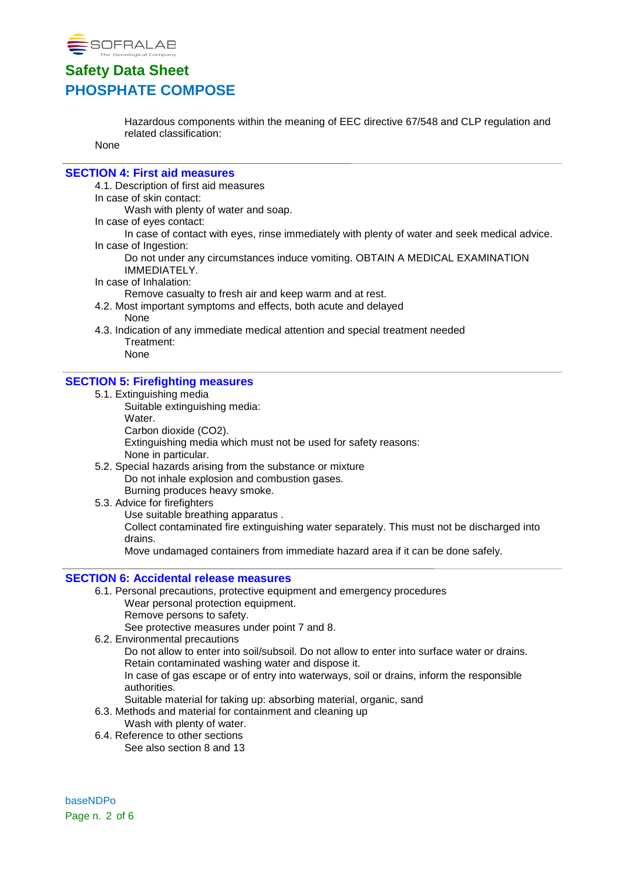

Hazardous components within the meaning of EEC directive 67/548 and CLP regulation and related classification:

None

#### **SECTION 4: First aid measures**

4.1. Description of first aid measures

#### In case of skin contact:

Wash with plenty of water and soap.

In case of eyes contact:

In case of contact with eyes, rinse immediately with plenty of water and seek medical advice. In case of Ingestion:

Do not under any circumstances induce vomiting. OBTAIN A MEDICAL EXAMINATION IMMEDIATELY.

In case of Inhalation:

Remove casualty to fresh air and keep warm and at rest.

- 4.2. Most important symptoms and effects, both acute and delayed None
- 4.3. Indication of any immediate medical attention and special treatment needed Treatment:

## None

#### **SECTION 5: Firefighting measures**

- 5.1. Extinguishing media
	- Suitable extinguishing media: Water. Carbon dioxide (CO2).
		-

Extinguishing media which must not be used for safety reasons: None in particular.

- 5.2. Special hazards arising from the substance or mixture Do not inhale explosion and combustion gases. Burning produces heavy smoke.
- 5.3. Advice for firefighters

Use suitable breathing apparatus . Collect contaminated fire extinguishing water separately. This must not be discharged into drains.

Move undamaged containers from immediate hazard area if it can be done safely.

#### **SECTION 6: Accidental release measures**

- 6.1. Personal precautions, protective equipment and emergency procedures Wear personal protection equipment.
	- Remove persons to safety.

See protective measures under point 7 and 8.

6.2. Environmental precautions

Do not allow to enter into soil/subsoil. Do not allow to enter into surface water or drains. Retain contaminated washing water and dispose it.

In case of gas escape or of entry into waterways, soil or drains, inform the responsible authorities.

- Suitable material for taking up: absorbing material, organic, sand
- 6.3. Methods and material for containment and cleaning up
	- Wash with plenty of water.
- 6.4. Reference to other sections See also section 8 and 13

baseNDPo Page n. 2 of 6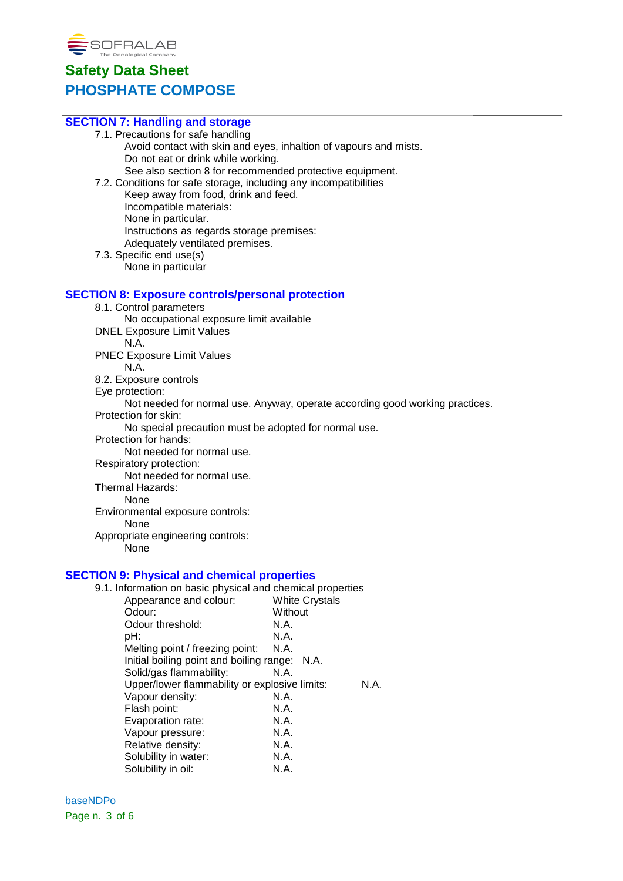

| <b>SECTION 7: Handling and storage</b>                                       |
|------------------------------------------------------------------------------|
| 7.1. Precautions for safe handling                                           |
| Avoid contact with skin and eyes, inhaltion of vapours and mists.            |
| Do not eat or drink while working.                                           |
| See also section 8 for recommended protective equipment.                     |
| 7.2. Conditions for safe storage, including any incompatibilities            |
| Keep away from food, drink and feed.                                         |
| Incompatible materials:                                                      |
| None in particular.                                                          |
| Instructions as regards storage premises:                                    |
| Adequately ventilated premises.                                              |
| 7.3. Specific end use(s)                                                     |
| None in particular                                                           |
|                                                                              |
| <b>SECTION 8: Exposure controls/personal protection</b>                      |
| 8.1. Control parameters                                                      |
| No occupational exposure limit available                                     |
| <b>DNEL Exposure Limit Values</b>                                            |
| N.A.                                                                         |
| <b>PNEC Exposure Limit Values</b>                                            |
| N.A.                                                                         |
| 8.2. Exposure controls                                                       |
| Eye protection:                                                              |
| Not needed for normal use. Anyway, operate according good working practices. |
| Protection for skin:                                                         |
| No special precaution must be adopted for normal use.                        |
| Protection for hands:                                                        |
| Not needed for normal use.                                                   |
| Respiratory protection:                                                      |
| Not needed for normal use.                                                   |
| Thermal Hazards:                                                             |
| None                                                                         |
| Environmental exposure controls:                                             |
| None                                                                         |
| Appropriate engineering controls:                                            |
| None                                                                         |
|                                                                              |
| <b>SECTION 9: Physical and chemical properties</b>                           |
| 9.1. Information on basic physical and chemical properties                   |

| . Information on basic physical and chemical properties |                       |
|---------------------------------------------------------|-----------------------|
| Appearance and colour:                                  | <b>White Crystals</b> |
| Odour:                                                  | Without               |
| Odour threshold:                                        | N.A.                  |
| pH:                                                     | N.A.                  |
| Melting point / freezing point:                         | N.A.                  |
| Initial boiling point and boiling range: N.A.           |                       |
| Solid/gas flammability:                                 | N.A.                  |
| Upper/lower flammability or explosive limits:           | N.A.                  |
| Vapour density:                                         | N.A.                  |
| Flash point:                                            | N.A.                  |
| Evaporation rate:                                       | N.A.                  |
| Vapour pressure:                                        | N.A.                  |
| Relative density:                                       | N.A.                  |
| Solubility in water:                                    | N.A.                  |
| Solubility in oil:                                      | N.A.                  |

baseNDPo Page n. 3 of 6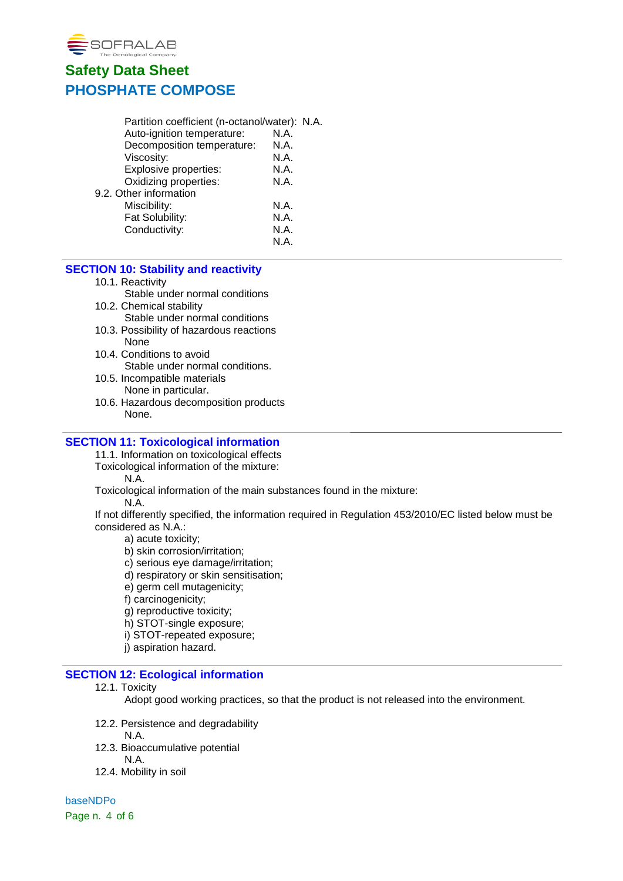

| Partition coefficient (n-octanol/water): N.A. |      |  |
|-----------------------------------------------|------|--|
| Auto-ignition temperature:                    | N.A. |  |
| Decomposition temperature:                    | N.A. |  |
| Viscosity:                                    | N.A. |  |
| Explosive properties:                         | N.A. |  |
| Oxidizing properties:                         | N.A. |  |
| 9.2. Other information                        |      |  |
| Miscibility:                                  | N.A. |  |
| Fat Solubility:                               | N.A. |  |
| Conductivity:                                 | N.A. |  |
|                                               | N.A. |  |
|                                               |      |  |

### **SECTION 10: Stability and reactivity**

10.1. Reactivity

Stable under normal conditions

- 10.2. Chemical stability
	- Stable under normal conditions
- 10.3. Possibility of hazardous reactions None
- 10.4. Conditions to avoid Stable under normal conditions.
- 10.5. Incompatible materials None in particular.
- 10.6. Hazardous decomposition products None.

#### **SECTION 11: Toxicological information**

11.1. Information on toxicological effects

Toxicological information of the mixture:

N.A.

Toxicological information of the main substances found in the mixture:

N.A.

If not differently specified, the information required in Regulation 453/2010/EC listed below must be considered as N.A.:

a) acute toxicity;

b) skin corrosion/irritation;

c) serious eye damage/irritation;

- d) respiratory or skin sensitisation;
- e) germ cell mutagenicity;

f) carcinogenicity;

g) reproductive toxicity;

h) STOT-single exposure;

i) STOT-repeated exposure;

j) aspiration hazard.

### **SECTION 12: Ecological information**

#### 12.1. Toxicity

Adopt good working practices, so that the product is not released into the environment.

- 12.2. Persistence and degradability
	- N.A.
- 12.3. Bioaccumulative potential
	- N.A.
- 12.4. Mobility in soil

baseNDPo Page n. 4 of 6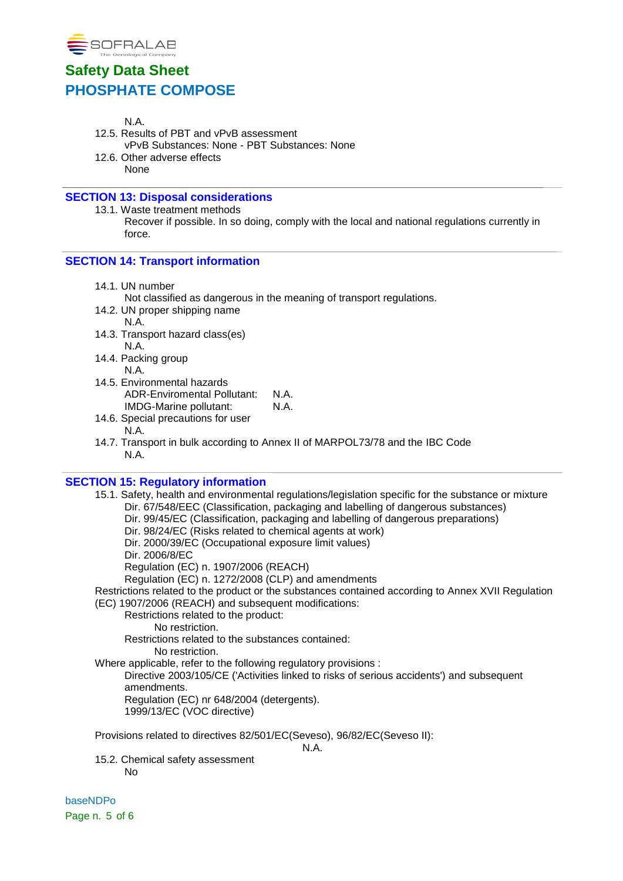

- N.A.
- 12.5. Results of PBT and vPvB assessment vPvB Substances: None - PBT Substances: None
- 12.6. Other adverse effects
	- None

## **SECTION 13: Disposal considerations**

13.1. Waste treatment methods Recover if possible. In so doing, comply with the local and national regulations currently in force.

### **SECTION 14: Transport information**

14.1. UN number

Not classified as dangerous in the meaning of transport regulations.

- 14.2. UN proper shipping name N.A.
- 14.3. Transport hazard class(es) N.A.
- 14.4. Packing group N.A.
- 14.5. Environmental hazards ADR-Enviromental Pollutant: N.A.<br>IMDG-Marine pollutant: N.A. IMDG-Marine pollutant:
- 14.6. Special precautions for user N.A.
- 14.7. Transport in bulk according to Annex II of MARPOL73/78 and the IBC Code N.A.

### **SECTION 15: Regulatory information**

15.1. Safety, health and environmental regulations/legislation specific for the substance or mixture Dir. 67/548/EEC (Classification, packaging and labelling of dangerous substances) Dir. 99/45/EC (Classification, packaging and labelling of dangerous preparations) Dir. 98/24/EC (Risks related to chemical agents at work) Dir. 2000/39/EC (Occupational exposure limit values) Dir. 2006/8/EC Regulation (EC) n. 1907/2006 (REACH) Regulation (EC) n. 1272/2008 (CLP) and amendments Restrictions related to the product or the substances contained according to Annex XVII Regulation (EC) 1907/2006 (REACH) and subsequent modifications: Restrictions related to the product: No restriction. Restrictions related to the substances contained: No restriction. Where applicable, refer to the following regulatory provisions : Directive 2003/105/CE ('Activities linked to risks of serious accidents') and subsequent amendments. Regulation (EC) nr 648/2004 (detergents). 1999/13/EC (VOC directive)

Provisions related to directives 82/501/EC(Seveso), 96/82/EC(Seveso II):

N.A.

15.2. Chemical safety assessment No

baseNDPo Page n. 5 of 6